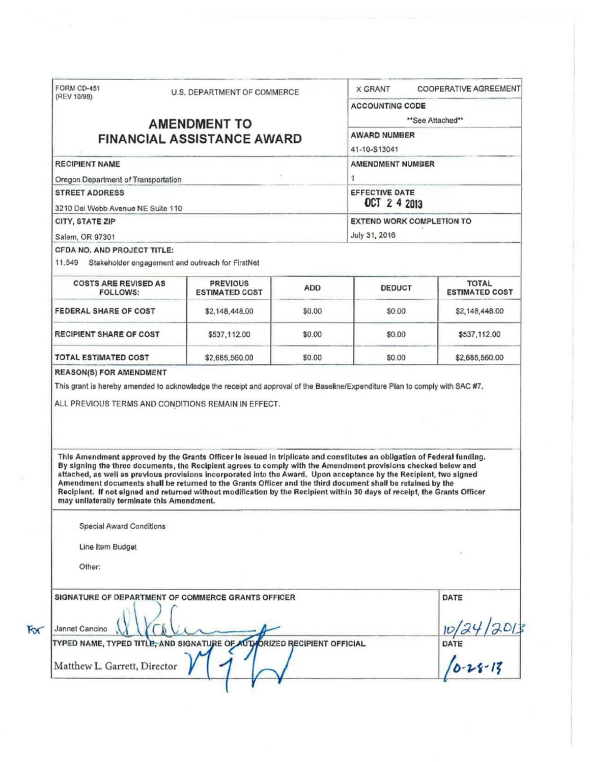| (REV 10/98)                                                                            | U.S. DEPARTMENT OF COMMERCE |                                                                                                                                                                                                                                                                                                                                                                                                                                                                                                                                                                                                             | <b>X GRANT</b>                   |                                            | <b>COOPERATIVE AGREEMENT</b> |                                             |
|----------------------------------------------------------------------------------------|-----------------------------|-------------------------------------------------------------------------------------------------------------------------------------------------------------------------------------------------------------------------------------------------------------------------------------------------------------------------------------------------------------------------------------------------------------------------------------------------------------------------------------------------------------------------------------------------------------------------------------------------------------|----------------------------------|--------------------------------------------|------------------------------|---------------------------------------------|
|                                                                                        |                             |                                                                                                                                                                                                                                                                                                                                                                                                                                                                                                                                                                                                             |                                  | <b>ACCOUNTING CODE</b><br>**See Attached** |                              |                                             |
|                                                                                        |                             | <b>AMENDMENT TO</b>                                                                                                                                                                                                                                                                                                                                                                                                                                                                                                                                                                                         |                                  |                                            |                              |                                             |
| <b>FINANCIAL ASSISTANCE AWARD</b>                                                      |                             | <b>AWARD NUMBER</b>                                                                                                                                                                                                                                                                                                                                                                                                                                                                                                                                                                                         |                                  |                                            |                              |                                             |
|                                                                                        | 41-10-S13041                |                                                                                                                                                                                                                                                                                                                                                                                                                                                                                                                                                                                                             |                                  |                                            |                              |                                             |
| <b>RECIPIENT NAME</b>                                                                  | <b>AMENDMENT NUMBER</b>     |                                                                                                                                                                                                                                                                                                                                                                                                                                                                                                                                                                                                             |                                  |                                            |                              |                                             |
| Oregon Department of Transportation                                                    |                             |                                                                                                                                                                                                                                                                                                                                                                                                                                                                                                                                                                                                             |                                  | 1                                          |                              |                                             |
| <b>STREET ADDRESS</b>                                                                  |                             |                                                                                                                                                                                                                                                                                                                                                                                                                                                                                                                                                                                                             |                                  | <b>EFFECTIVE DATE</b>                      |                              |                                             |
| 3210 Del Webb Avenue NE Suite 110                                                      |                             |                                                                                                                                                                                                                                                                                                                                                                                                                                                                                                                                                                                                             |                                  | OCT 2 4 2013                               |                              |                                             |
| CITY, STATE ZIP                                                                        |                             |                                                                                                                                                                                                                                                                                                                                                                                                                                                                                                                                                                                                             |                                  | <b>EXTEND WORK COMPLETION TO</b>           |                              |                                             |
| Salem, OR 97301                                                                        |                             |                                                                                                                                                                                                                                                                                                                                                                                                                                                                                                                                                                                                             |                                  | July 31, 2016                              |                              |                                             |
| CFDA NO. AND PROJECT TITLE:<br>11.549 Stakeholder engagement and outreach for FirstNet |                             |                                                                                                                                                                                                                                                                                                                                                                                                                                                                                                                                                                                                             |                                  |                                            |                              |                                             |
| <b>COSTS ARE REVISED AS</b><br><b>FOLLOWS:</b>                                         |                             | <b>PREVIOUS</b><br><b>ESTIMATED COST</b>                                                                                                                                                                                                                                                                                                                                                                                                                                                                                                                                                                    | <b>ADD</b>                       | <b>DEDUCT</b>                              |                              | <b>TOTAL</b><br><b>ESTIMATED COST</b>       |
| FEDERAL SHARE OF COST                                                                  |                             | \$2,148,448,00                                                                                                                                                                                                                                                                                                                                                                                                                                                                                                                                                                                              | \$0.00                           | \$0.00                                     |                              | \$2,148,448.00                              |
| <b>RECIPIENT SHARE OF COST</b>                                                         |                             | \$537,112.00                                                                                                                                                                                                                                                                                                                                                                                                                                                                                                                                                                                                | \$0.00                           | \$0.00                                     |                              | \$537,112.00                                |
|                                                                                        |                             |                                                                                                                                                                                                                                                                                                                                                                                                                                                                                                                                                                                                             |                                  |                                            |                              |                                             |
|                                                                                        |                             | \$2,685,560.00<br>This grant is hereby amended to acknowledge the receipt and approval of the Baseline/Expenditure Plan to comply with SAC #7.<br>ALL PREVIOUS TERMS AND CONDITIONS REMAIN IN EFFECT.                                                                                                                                                                                                                                                                                                                                                                                                       | \$0.00                           | \$0.00                                     |                              | \$2,685,560.00                              |
| TOTAL ESTIMATED COST<br><b>REASON(S) FOR AMENDMENT</b>                                 |                             | This Amendment approved by the Grants Officer is issued in triplicate and constitutes an obligation of Federal funding.<br>By signing the three documents, the Recipient agrees to comply with the Amendment provisions checked below and<br>attached, as well as previous provisions incorporated into the Award. Upon acceptance by the Recipient, two signed<br>Amendment documents shall be returned to the Grants Officer and the third document shall be retained by the<br>Reciplent. If not signed and returned without modification by the Recipient within 30 days of receipt, the Grants Officer |                                  |                                            |                              |                                             |
| may unliaterally terminate this Amendment.                                             |                             |                                                                                                                                                                                                                                                                                                                                                                                                                                                                                                                                                                                                             |                                  |                                            |                              |                                             |
| <b>Special Award Conditions</b>                                                        |                             |                                                                                                                                                                                                                                                                                                                                                                                                                                                                                                                                                                                                             |                                  |                                            |                              |                                             |
| Line Item Budget                                                                       |                             |                                                                                                                                                                                                                                                                                                                                                                                                                                                                                                                                                                                                             |                                  |                                            |                              |                                             |
| Other:                                                                                 |                             |                                                                                                                                                                                                                                                                                                                                                                                                                                                                                                                                                                                                             |                                  |                                            |                              |                                             |
|                                                                                        |                             | SIGNATURE OF DEPARTMENT OF COMMERCE GRANTS OFFICER                                                                                                                                                                                                                                                                                                                                                                                                                                                                                                                                                          |                                  |                                            |                              | DATE                                        |
| Jannet Cancino                                                                         |                             |                                                                                                                                                                                                                                                                                                                                                                                                                                                                                                                                                                                                             |                                  |                                            |                              |                                             |
| TYPED NAME, TYPED TITLE, AND SIGNATURE OF AUTI                                         |                             |                                                                                                                                                                                                                                                                                                                                                                                                                                                                                                                                                                                                             | <b>ORIZED RECIPIENT OFFICIAL</b> |                                            |                              | $\frac{10}{24}$<br>DATE<br>$\sqrt{0.28.13}$ |